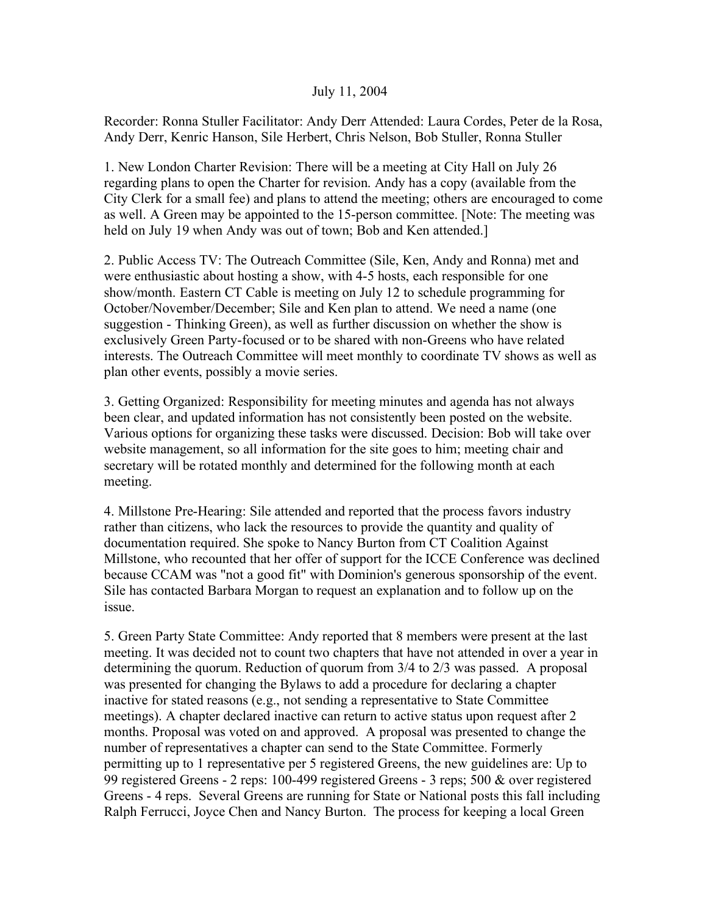## July 11, 2004

Recorder: Ronna Stuller Facilitator: Andy Derr Attended: Laura Cordes, Peter de la Rosa, Andy Derr, Kenric Hanson, Sile Herbert, Chris Nelson, Bob Stuller, Ronna Stuller

1. New London Charter Revision: There will be a meeting at City Hall on July 26 regarding plans to open the Charter for revision. Andy has a copy (available from the City Clerk for a small fee) and plans to attend the meeting; others are encouraged to come as well. A Green may be appointed to the 15-person committee. [Note: The meeting was held on July 19 when Andy was out of town; Bob and Ken attended.]

2. Public Access TV: The Outreach Committee (Sile, Ken, Andy and Ronna) met and were enthusiastic about hosting a show, with 4-5 hosts, each responsible for one show/month. Eastern CT Cable is meeting on July 12 to schedule programming for October/November/December; Sile and Ken plan to attend. We need a name (one suggestion - Thinking Green), as well as further discussion on whether the show is exclusively Green Party-focused or to be shared with non-Greens who have related interests. The Outreach Committee will meet monthly to coordinate TV shows as well as plan other events, possibly a movie series.

3. Getting Organized: Responsibility for meeting minutes and agenda has not always been clear, and updated information has not consistently been posted on the website. Various options for organizing these tasks were discussed. Decision: Bob will take over website management, so all information for the site goes to him; meeting chair and secretary will be rotated monthly and determined for the following month at each meeting.

4. Millstone Pre-Hearing: Sile attended and reported that the process favors industry rather than citizens, who lack the resources to provide the quantity and quality of documentation required. She spoke to Nancy Burton from CT Coalition Against Millstone, who recounted that her offer of support for the ICCE Conference was declined because CCAM was "not a good fit" with Dominion's generous sponsorship of the event. Sile has contacted Barbara Morgan to request an explanation and to follow up on the issue.

5. Green Party State Committee: Andy reported that 8 members were present at the last meeting. It was decided not to count two chapters that have not attended in over a year in determining the quorum. Reduction of quorum from 3/4 to 2/3 was passed. A proposal was presented for changing the Bylaws to add a procedure for declaring a chapter inactive for stated reasons (e.g., not sending a representative to State Committee meetings). A chapter declared inactive can return to active status upon request after 2 months. Proposal was voted on and approved. A proposal was presented to change the number of representatives a chapter can send to the State Committee. Formerly permitting up to 1 representative per 5 registered Greens, the new guidelines are: Up to 99 registered Greens - 2 reps: 100-499 registered Greens - 3 reps; 500 & over registered Greens - 4 reps. Several Greens are running for State or National posts this fall including Ralph Ferrucci, Joyce Chen and Nancy Burton. The process for keeping a local Green